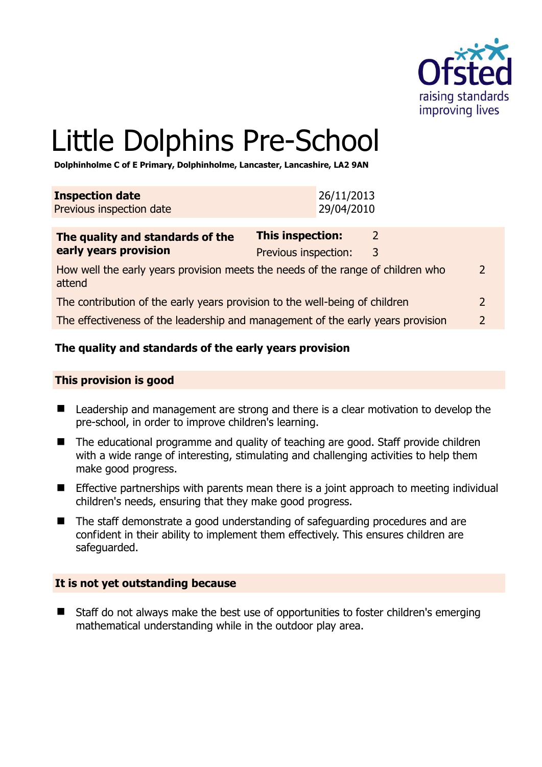

# Little Dolphins Pre-School

**Dolphinholme C of E Primary, Dolphinholme, Lancaster, Lancashire, LA2 9AN** 

| <b>Inspection date</b>   | 26/11/2013 |
|--------------------------|------------|
| Previous inspection date | 29/04/2010 |
|                          |            |

| The quality and standards of the                                                          | <b>This inspection:</b> |   |               |
|-------------------------------------------------------------------------------------------|-------------------------|---|---------------|
| early years provision                                                                     | Previous inspection:    | 3 |               |
| How well the early years provision meets the needs of the range of children who<br>attend |                         |   | $\mathcal{L}$ |
| The contribution of the early years provision to the well-being of children               |                         |   | $\mathcal{L}$ |
| The effectiveness of the leadership and management of the early years provision           |                         |   | $\mathcal{L}$ |

#### **The quality and standards of the early years provision**

#### **This provision is good**

- Leadership and management are strong and there is a clear motivation to develop the pre-school, in order to improve children's learning.
- The educational programme and quality of teaching are good. Staff provide children with a wide range of interesting, stimulating and challenging activities to help them make good progress.
- **Effective partnerships with parents mean there is a joint approach to meeting individual** children's needs, ensuring that they make good progress.
- The staff demonstrate a good understanding of safeguarding procedures and are confident in their ability to implement them effectively. This ensures children are safeguarded.

#### **It is not yet outstanding because**

■ Staff do not always make the best use of opportunities to foster children's emerging mathematical understanding while in the outdoor play area.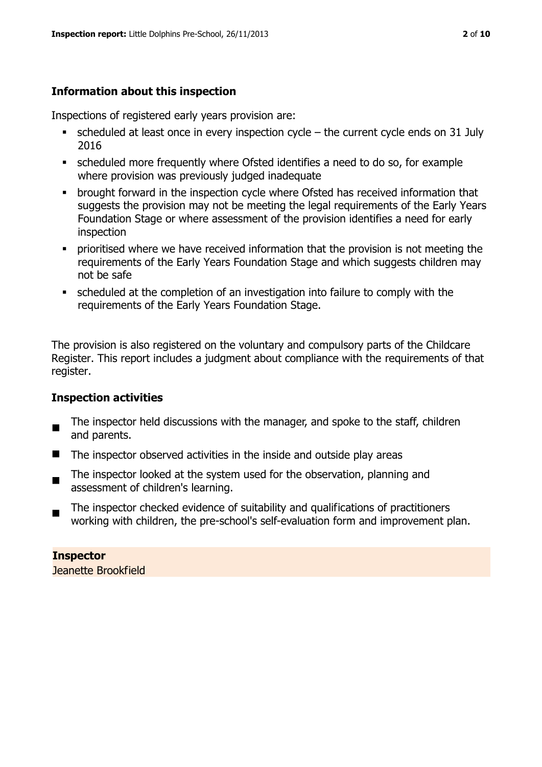#### **Information about this inspection**

Inspections of registered early years provision are:

- $\bullet$  scheduled at least once in every inspection cycle the current cycle ends on 31 July 2016
- scheduled more frequently where Ofsted identifies a need to do so, for example where provision was previously judged inadequate
- **•** brought forward in the inspection cycle where Ofsted has received information that suggests the provision may not be meeting the legal requirements of the Early Years Foundation Stage or where assessment of the provision identifies a need for early inspection
- **•** prioritised where we have received information that the provision is not meeting the requirements of the Early Years Foundation Stage and which suggests children may not be safe
- scheduled at the completion of an investigation into failure to comply with the requirements of the Early Years Foundation Stage.

The provision is also registered on the voluntary and compulsory parts of the Childcare Register. This report includes a judgment about compliance with the requirements of that register.

#### **Inspection activities**

- $\blacksquare$ The inspector held discussions with the manager, and spoke to the staff, children and parents.
- $\blacksquare$  The inspector observed activities in the inside and outside play areas
- The inspector looked at the system used for the observation, planning and assessment of children's learning.
- The inspector checked evidence of suitability and qualifications of practitioners working with children, the pre-school's self-evaluation form and improvement plan.

## **Inspector**

Jeanette Brookfield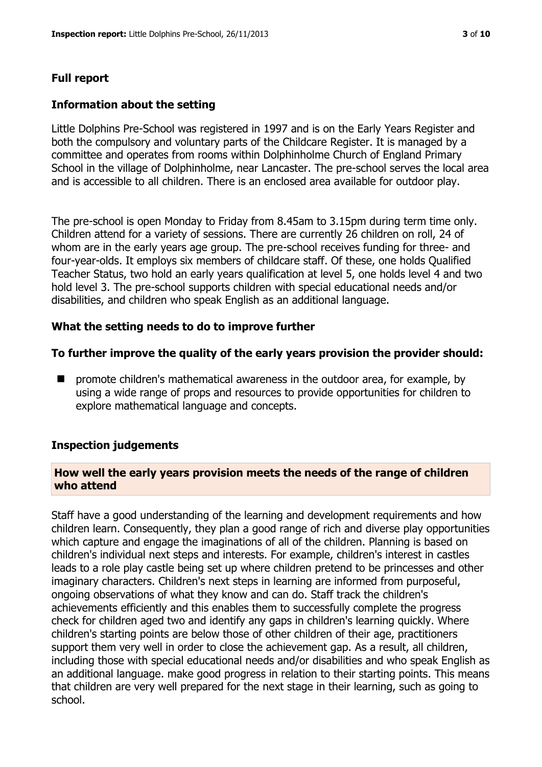#### **Full report**

#### **Information about the setting**

Little Dolphins Pre-School was registered in 1997 and is on the Early Years Register and both the compulsory and voluntary parts of the Childcare Register. It is managed by a committee and operates from rooms within Dolphinholme Church of England Primary School in the village of Dolphinholme, near Lancaster. The pre-school serves the local area and is accessible to all children. There is an enclosed area available for outdoor play.

The pre-school is open Monday to Friday from 8.45am to 3.15pm during term time only. Children attend for a variety of sessions. There are currently 26 children on roll, 24 of whom are in the early years age group. The pre-school receives funding for three- and four-year-olds. It employs six members of childcare staff. Of these, one holds Qualified Teacher Status, two hold an early years qualification at level 5, one holds level 4 and two hold level 3. The pre-school supports children with special educational needs and/or disabilities, and children who speak English as an additional language.

#### **What the setting needs to do to improve further**

#### **To further improve the quality of the early years provision the provider should:**

 $\blacksquare$  promote children's mathematical awareness in the outdoor area, for example, by using a wide range of props and resources to provide opportunities for children to explore mathematical language and concepts.

#### **Inspection judgements**

#### **How well the early years provision meets the needs of the range of children who attend**

Staff have a good understanding of the learning and development requirements and how children learn. Consequently, they plan a good range of rich and diverse play opportunities which capture and engage the imaginations of all of the children. Planning is based on children's individual next steps and interests. For example, children's interest in castles leads to a role play castle being set up where children pretend to be princesses and other imaginary characters. Children's next steps in learning are informed from purposeful, ongoing observations of what they know and can do. Staff track the children's achievements efficiently and this enables them to successfully complete the progress check for children aged two and identify any gaps in children's learning quickly. Where children's starting points are below those of other children of their age, practitioners support them very well in order to close the achievement gap. As a result, all children, including those with special educational needs and/or disabilities and who speak English as an additional language. make good progress in relation to their starting points. This means that children are very well prepared for the next stage in their learning, such as going to school.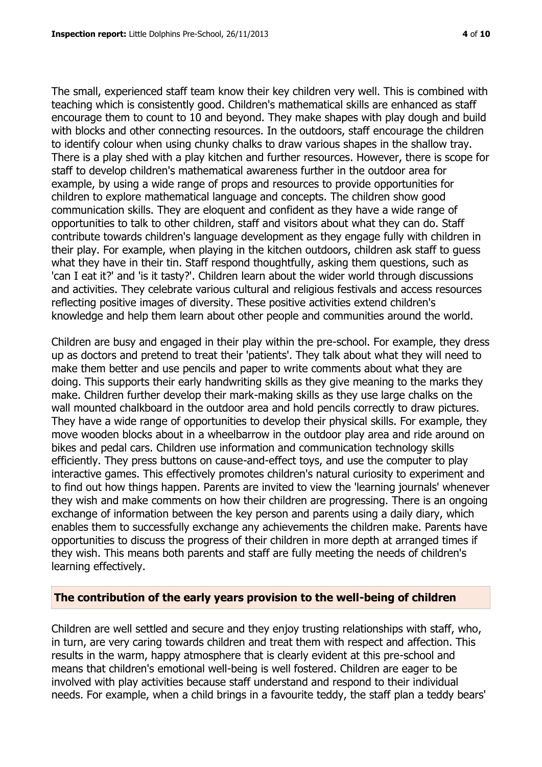The small, experienced staff team know their key children very well. This is combined with teaching which is consistently good. Children's mathematical skills are enhanced as staff encourage them to count to 10 and beyond. They make shapes with play dough and build with blocks and other connecting resources. In the outdoors, staff encourage the children to identify colour when using chunky chalks to draw various shapes in the shallow tray. There is a play shed with a play kitchen and further resources. However, there is scope for staff to develop children's mathematical awareness further in the outdoor area for example, by using a wide range of props and resources to provide opportunities for children to explore mathematical language and concepts. The children show good communication skills. They are eloquent and confident as they have a wide range of opportunities to talk to other children, staff and visitors about what they can do. Staff contribute towards children's language development as they engage fully with children in their play. For example, when playing in the kitchen outdoors, children ask staff to guess what they have in their tin. Staff respond thoughtfully, asking them questions, such as 'can I eat it?' and 'is it tasty?'. Children learn about the wider world through discussions and activities. They celebrate various cultural and religious festivals and access resources reflecting positive images of diversity. These positive activities extend children's knowledge and help them learn about other people and communities around the world.

Children are busy and engaged in their play within the pre-school. For example, they dress up as doctors and pretend to treat their 'patients'. They talk about what they will need to make them better and use pencils and paper to write comments about what they are doing. This supports their early handwriting skills as they give meaning to the marks they make. Children further develop their mark-making skills as they use large chalks on the wall mounted chalkboard in the outdoor area and hold pencils correctly to draw pictures. They have a wide range of opportunities to develop their physical skills. For example, they move wooden blocks about in a wheelbarrow in the outdoor play area and ride around on bikes and pedal cars. Children use information and communication technology skills efficiently. They press buttons on cause-and-effect toys, and use the computer to play interactive games. This effectively promotes children's natural curiosity to experiment and to find out how things happen. Parents are invited to view the 'learning journals' whenever they wish and make comments on how their children are progressing. There is an ongoing exchange of information between the key person and parents using a daily diary, which enables them to successfully exchange any achievements the children make. Parents have opportunities to discuss the progress of their children in more depth at arranged times if they wish. This means both parents and staff are fully meeting the needs of children's learning effectively.

#### **The contribution of the early years provision to the well-being of children**

Children are well settled and secure and they enjoy trusting relationships with staff, who, in turn, are very caring towards children and treat them with respect and affection. This results in the warm, happy atmosphere that is clearly evident at this pre-school and means that children's emotional well-being is well fostered. Children are eager to be involved with play activities because staff understand and respond to their individual needs. For example, when a child brings in a favourite teddy, the staff plan a teddy bears'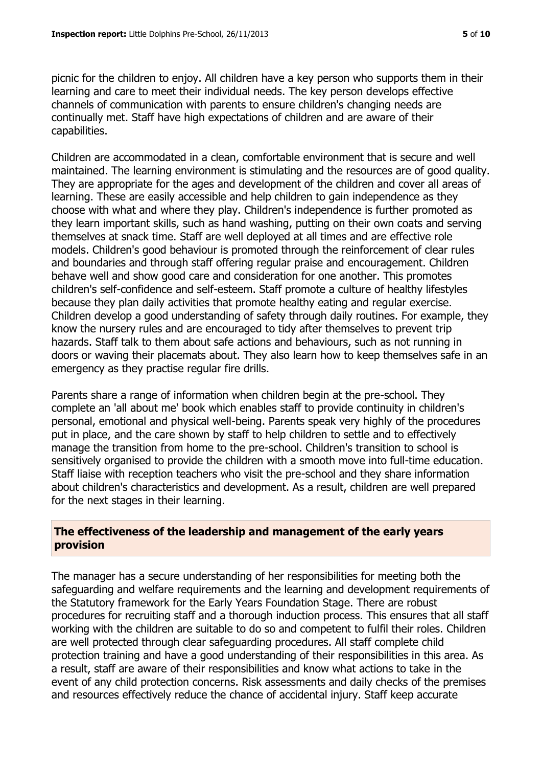picnic for the children to enjoy. All children have a key person who supports them in their learning and care to meet their individual needs. The key person develops effective channels of communication with parents to ensure children's changing needs are continually met. Staff have high expectations of children and are aware of their capabilities.

Children are accommodated in a clean, comfortable environment that is secure and well maintained. The learning environment is stimulating and the resources are of good quality. They are appropriate for the ages and development of the children and cover all areas of learning. These are easily accessible and help children to gain independence as they choose with what and where they play. Children's independence is further promoted as they learn important skills, such as hand washing, putting on their own coats and serving themselves at snack time. Staff are well deployed at all times and are effective role models. Children's good behaviour is promoted through the reinforcement of clear rules and boundaries and through staff offering regular praise and encouragement. Children behave well and show good care and consideration for one another. This promotes children's self-confidence and self-esteem. Staff promote a culture of healthy lifestyles because they plan daily activities that promote healthy eating and regular exercise. Children develop a good understanding of safety through daily routines. For example, they know the nursery rules and are encouraged to tidy after themselves to prevent trip hazards. Staff talk to them about safe actions and behaviours, such as not running in doors or waving their placemats about. They also learn how to keep themselves safe in an emergency as they practise regular fire drills.

Parents share a range of information when children begin at the pre-school. They complete an 'all about me' book which enables staff to provide continuity in children's personal, emotional and physical well-being. Parents speak very highly of the procedures put in place, and the care shown by staff to help children to settle and to effectively manage the transition from home to the pre-school. Children's transition to school is sensitively organised to provide the children with a smooth move into full-time education. Staff liaise with reception teachers who visit the pre-school and they share information about children's characteristics and development. As a result, children are well prepared for the next stages in their learning.

#### **The effectiveness of the leadership and management of the early years provision**

The manager has a secure understanding of her responsibilities for meeting both the safeguarding and welfare requirements and the learning and development requirements of the Statutory framework for the Early Years Foundation Stage. There are robust procedures for recruiting staff and a thorough induction process. This ensures that all staff working with the children are suitable to do so and competent to fulfil their roles. Children are well protected through clear safeguarding procedures. All staff complete child protection training and have a good understanding of their responsibilities in this area. As a result, staff are aware of their responsibilities and know what actions to take in the event of any child protection concerns. Risk assessments and daily checks of the premises and resources effectively reduce the chance of accidental injury. Staff keep accurate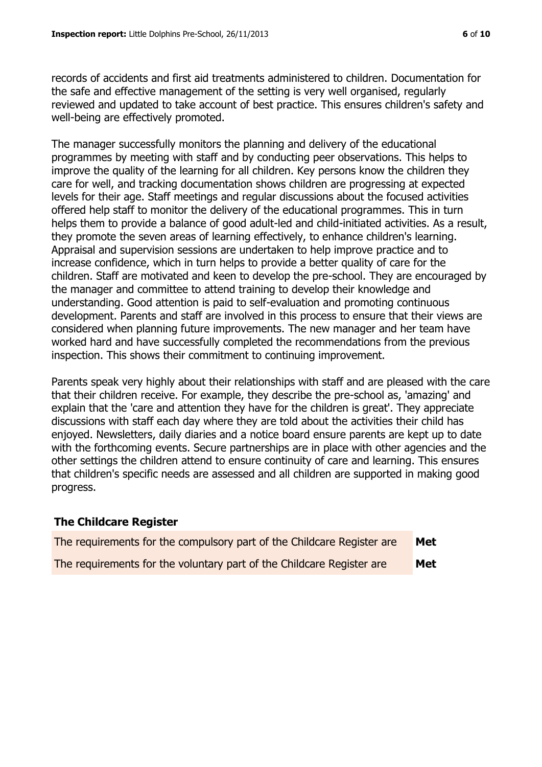records of accidents and first aid treatments administered to children. Documentation for the safe and effective management of the setting is very well organised, regularly reviewed and updated to take account of best practice. This ensures children's safety and well-being are effectively promoted.

The manager successfully monitors the planning and delivery of the educational programmes by meeting with staff and by conducting peer observations. This helps to improve the quality of the learning for all children. Key persons know the children they care for well, and tracking documentation shows children are progressing at expected levels for their age. Staff meetings and regular discussions about the focused activities offered help staff to monitor the delivery of the educational programmes. This in turn helps them to provide a balance of good adult-led and child-initiated activities. As a result, they promote the seven areas of learning effectively, to enhance children's learning. Appraisal and supervision sessions are undertaken to help improve practice and to increase confidence, which in turn helps to provide a better quality of care for the children. Staff are motivated and keen to develop the pre-school. They are encouraged by the manager and committee to attend training to develop their knowledge and understanding. Good attention is paid to self-evaluation and promoting continuous development. Parents and staff are involved in this process to ensure that their views are considered when planning future improvements. The new manager and her team have worked hard and have successfully completed the recommendations from the previous inspection. This shows their commitment to continuing improvement.

Parents speak very highly about their relationships with staff and are pleased with the care that their children receive. For example, they describe the pre-school as, 'amazing' and explain that the 'care and attention they have for the children is great'. They appreciate discussions with staff each day where they are told about the activities their child has enjoyed. Newsletters, daily diaries and a notice board ensure parents are kept up to date with the forthcoming events. Secure partnerships are in place with other agencies and the other settings the children attend to ensure continuity of care and learning. This ensures that children's specific needs are assessed and all children are supported in making good progress.

#### **The Childcare Register**

| The requirements for the compulsory part of the Childcare Register are | Met |
|------------------------------------------------------------------------|-----|
| The requirements for the voluntary part of the Childcare Register are  | Met |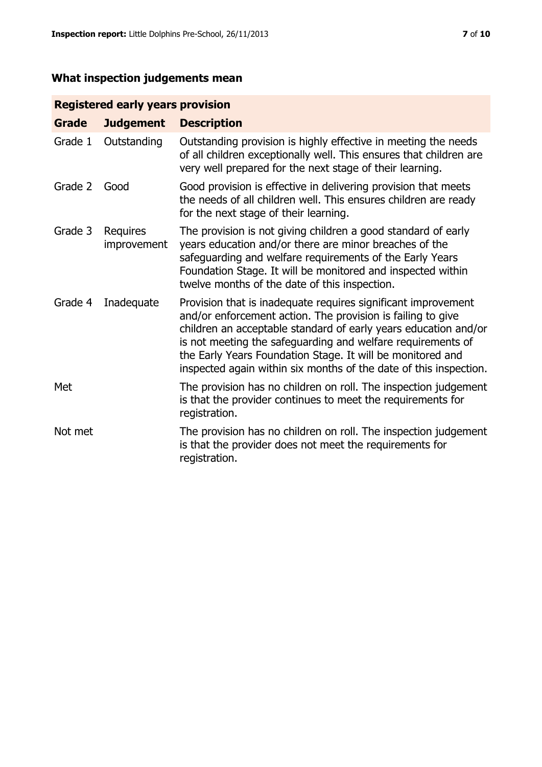### **What inspection judgements mean**

#### **Registered early years provision**

| <b>Grade</b> | <b>Judgement</b>        | <b>Description</b>                                                                                                                                                                                                                                                                                                                                                                                |
|--------------|-------------------------|---------------------------------------------------------------------------------------------------------------------------------------------------------------------------------------------------------------------------------------------------------------------------------------------------------------------------------------------------------------------------------------------------|
| Grade 1      | Outstanding             | Outstanding provision is highly effective in meeting the needs<br>of all children exceptionally well. This ensures that children are<br>very well prepared for the next stage of their learning.                                                                                                                                                                                                  |
| Grade 2      | Good                    | Good provision is effective in delivering provision that meets<br>the needs of all children well. This ensures children are ready<br>for the next stage of their learning.                                                                                                                                                                                                                        |
| Grade 3      | Requires<br>improvement | The provision is not giving children a good standard of early<br>years education and/or there are minor breaches of the<br>safeguarding and welfare requirements of the Early Years<br>Foundation Stage. It will be monitored and inspected within<br>twelve months of the date of this inspection.                                                                                               |
| Grade 4      | Inadequate              | Provision that is inadequate requires significant improvement<br>and/or enforcement action. The provision is failing to give<br>children an acceptable standard of early years education and/or<br>is not meeting the safeguarding and welfare requirements of<br>the Early Years Foundation Stage. It will be monitored and<br>inspected again within six months of the date of this inspection. |
| Met          |                         | The provision has no children on roll. The inspection judgement<br>is that the provider continues to meet the requirements for<br>registration.                                                                                                                                                                                                                                                   |
| Not met      |                         | The provision has no children on roll. The inspection judgement<br>is that the provider does not meet the requirements for<br>registration.                                                                                                                                                                                                                                                       |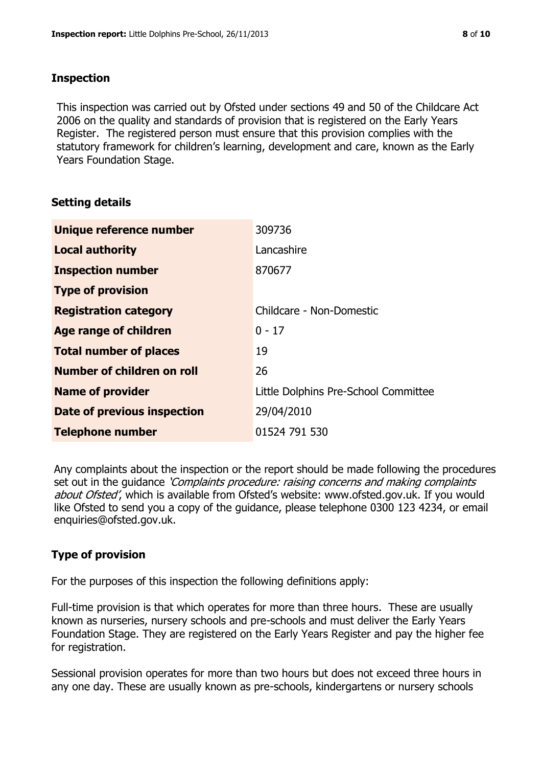#### **Inspection**

This inspection was carried out by Ofsted under sections 49 and 50 of the Childcare Act 2006 on the quality and standards of provision that is registered on the Early Years Register. The registered person must ensure that this provision complies with the statutory framework for children's learning, development and care, known as the Early Years Foundation Stage.

#### **Setting details**

| Unique reference number       | 309736                               |
|-------------------------------|--------------------------------------|
| <b>Local authority</b>        | Lancashire                           |
| <b>Inspection number</b>      | 870677                               |
| <b>Type of provision</b>      |                                      |
| <b>Registration category</b>  | Childcare - Non-Domestic             |
| Age range of children         | $0 - 17$                             |
| <b>Total number of places</b> | 19                                   |
| Number of children on roll    | 26                                   |
| <b>Name of provider</b>       | Little Dolphins Pre-School Committee |
| Date of previous inspection   | 29/04/2010                           |
| <b>Telephone number</b>       | 01524 791 530                        |

Any complaints about the inspection or the report should be made following the procedures set out in the guidance *'Complaints procedure: raising concerns and making complaints* about Ofsted', which is available from Ofsted's website: www.ofsted.gov.uk. If you would like Ofsted to send you a copy of the guidance, please telephone 0300 123 4234, or email enquiries@ofsted.gov.uk.

#### **Type of provision**

For the purposes of this inspection the following definitions apply:

Full-time provision is that which operates for more than three hours. These are usually known as nurseries, nursery schools and pre-schools and must deliver the Early Years Foundation Stage. They are registered on the Early Years Register and pay the higher fee for registration.

Sessional provision operates for more than two hours but does not exceed three hours in any one day. These are usually known as pre-schools, kindergartens or nursery schools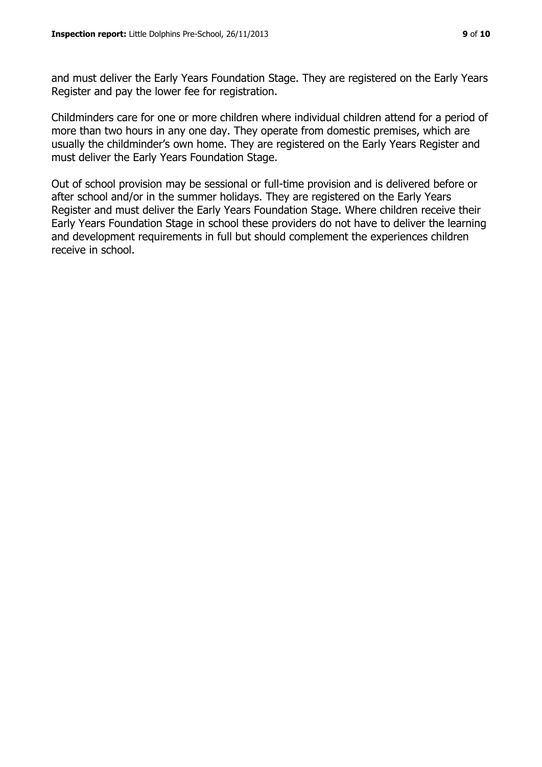and must deliver the Early Years Foundation Stage. They are registered on the Early Years Register and pay the lower fee for registration.

Childminders care for one or more children where individual children attend for a period of more than two hours in any one day. They operate from domestic premises, which are usually the childminder's own home. They are registered on the Early Years Register and must deliver the Early Years Foundation Stage.

Out of school provision may be sessional or full-time provision and is delivered before or after school and/or in the summer holidays. They are registered on the Early Years Register and must deliver the Early Years Foundation Stage. Where children receive their Early Years Foundation Stage in school these providers do not have to deliver the learning and development requirements in full but should complement the experiences children receive in school.